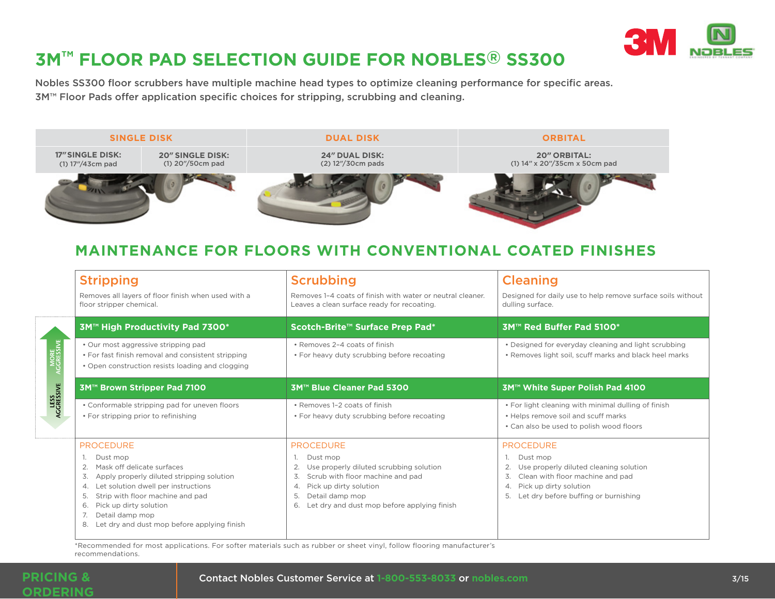

## **3M™ FLOOR PAD SELECTION GUIDE FOR NOBLES® SS300**

Nobles SS300 floor scrubbers have multiple machine head types to optimize cleaning performance for specific areas. 3M™ Floor Pads offer application specific choices for stripping, scrubbing and cleaning.



## **MAINTENANCE FOR FLOORS WITH CONVENTIONAL COATED FINISHES**

|                    | <b>Stripping</b><br>Removes all layers of floor finish when used with a<br>floor stripper chemical.                                                                                                                                                                                                    | <b>Scrubbing</b><br>Removes 1-4 coats of finish with water or neutral cleaner.<br>Leaves a clean surface ready for recoating.                                                                                                           | <b>Cleaning</b><br>Designed for daily use to help remove surface soils without<br>dulling surface.                                                                                             |
|--------------------|--------------------------------------------------------------------------------------------------------------------------------------------------------------------------------------------------------------------------------------------------------------------------------------------------------|-----------------------------------------------------------------------------------------------------------------------------------------------------------------------------------------------------------------------------------------|------------------------------------------------------------------------------------------------------------------------------------------------------------------------------------------------|
| MORE<br>AGGRESSIVE | 3M™ High Productivity Pad 7300*                                                                                                                                                                                                                                                                        | Scotch-Brite™ Surface Prep Pad*                                                                                                                                                                                                         | 3M™ Red Buffer Pad 5100*                                                                                                                                                                       |
|                    | · Our most aggressive stripping pad<br>• For fast finish removal and consistent stripping<br>• Open construction resists loading and clogging                                                                                                                                                          | · Removes 2-4 coats of finish<br>• For heavy duty scrubbing before recoating                                                                                                                                                            | • Designed for everyday cleaning and light scrubbing<br>• Removes light soil, scuff marks and black heel marks                                                                                 |
|                    | 3M™ Brown Stripper Pad 7100                                                                                                                                                                                                                                                                            | 3M™ Blue Cleaner Pad 5300                                                                                                                                                                                                               | 3M™ White Super Polish Pad 4100                                                                                                                                                                |
| LESS<br>AGGRESSIVE | • Conformable stripping pad for uneven floors<br>• For stripping prior to refinishing                                                                                                                                                                                                                  | • Removes 1-2 coats of finish<br>• For heavy duty scrubbing before recoating                                                                                                                                                            | . For light cleaning with minimal dulling of finish<br>• Helps remove soil and scuff marks<br>• Can also be used to polish wood floors                                                         |
|                    | <b>PROCEDURE</b><br>Dust mop<br>Mask off delicate surfaces<br>Apply properly diluted stripping solution<br>3.<br>Let solution dwell per instructions<br>4.<br>Strip with floor machine and pad<br>5.<br>Pick up dirty solution<br>6.<br>Detail damp mop<br>Let dry and dust mop before applying finish | <b>PROCEDURE</b><br>Dust mop<br>Use properly diluted scrubbing solution<br>Scrub with floor machine and pad<br>3.<br>Pick up dirty solution<br>$\overline{4}$ .<br>Detail damp mop<br>Let dry and dust mop before applying finish<br>6. | <b>PROCEDURE</b><br>Dust mop<br>Use properly diluted cleaning solution<br>Clean with floor machine and pad<br>3.<br>Pick up dirty solution<br>4.<br>Let dry before buffing or burnishing<br>5. |

\*Recommended for most applications. For softer materials such as rubber or sheet vinyl, follow flooring manufacturer's recommendations.